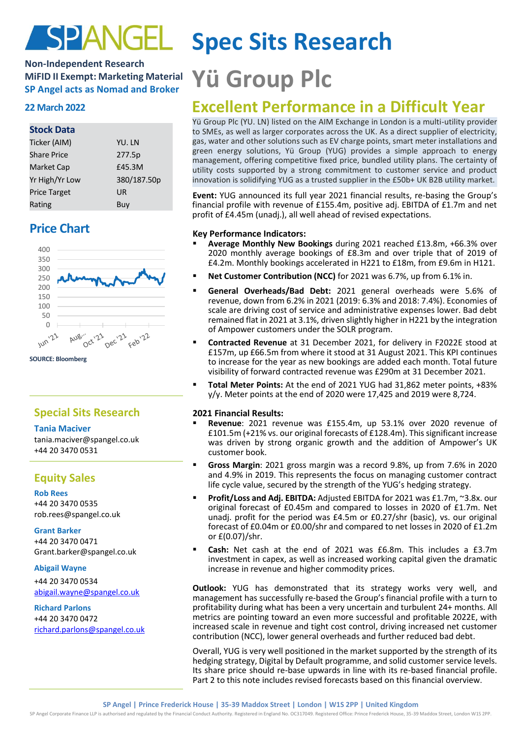

## **Non-Independent Research MiFID II Exempt: Marketing Material MiFID II Exempt: Marketing Material Yü Group PIC**

## **Stock Data**

| Ticker (AIM)        | YU. LN      |
|---------------------|-------------|
| <b>Share Price</b>  | 277.5p      |
| Market Cap          | £45.3M      |
| Yr High/Yr Low      | 380/187.50p |
| <b>Price Target</b> | UR          |
| Rating              | Buy         |

## **Price Chart**



**SOURCE: Bloomberg**

## **Special Sits Research**

## **Tania Maciver**

tania.maciver@spangel.co.uk +44 20 3470 0531

## **Equity Sales**

**Rob Rees** +44 20 3470 0535 [rob.rees@spangel.co.uk](mailto:rob.rees@spangel.co.uk)

## **Grant Barker**

+44 20 3470 0471 Grant.barker@spangel.co.uk

## **Abigail Wayne**

+44 20 3470 0534 [abigail.wayne@spangel.co.uk](mailto:abigail.wayne@spangel.co.uk)

## **Richard Parlons**

+44 20 3470 0472 [richard.parlons@spangel.co.uk](mailto:richard.parlons@spangel.co.uk)

# **Spec Sits Research**

## **<sup>22</sup> March <sup>2022</sup> Excellent Performance in a Difficult Year**

Yü Group Plc (YU. LN) listed on the AIM Exchange in London is a multi-utility provider to SMEs, as well as larger corporates across the UK. As a direct supplier of electricity, gas, water and other solutions such as EV charge points, smart meter installations and green energy solutions, Yü Group (YUG) provides a simple approach to energy management, offering competitive fixed price, bundled utility plans. The certainty of utility costs supported by a strong commitment to customer service and product innovation is solidifying YUG as a trusted supplier in the £50b+ UK B2B utility market.

**Event:** YUG announced its full year 2021 financial results, re-basing the Group's financial profile with revenue of £155.4m, positive adj. EBITDA of £1.7m and net profit of £4.45m (unadj.), all well ahead of revised expectations.

## **Key Performance Indicators:**

- **Average Monthly New Bookings** during 2021 reached £13.8m, +66.3% over 2020 monthly average bookings of £8.3m and over triple that of 2019 of £4.2m. Monthly bookings accelerated in H221 to £18m, from £9.6m in H121.
- **Net Customer Contribution (NCC)** for 2021 was 6.7%, up from 6.1% in.
- General Overheads/Bad Debt: 2021 general overheads were 5.6% of revenue, down from 6.2% in 2021 (2019: 6.3% and 2018: 7.4%). Economies of scale are driving cost of service and administrative expenses lower. Bad debt remained flat in 2021 at 3.1%, driven slightly higher in H221 by the integration of Ampower customers under the SOLR program.
- **Contracted Revenue** at 31 December 2021, for delivery in F2022E stood at £157m, up £66.5m from where it stood at 31 August 2021. This KPI continues to increase for the year as new bookings are added each month. Total future visibility of forward contracted revenue was £290m at 31 December 2021.
- **Total Meter Points:** At the end of 2021 YUG had 31,862 meter points, +83% y/y. Meter points at the end of 2020 were 17,425 and 2019 were 8,724.

## **2021 Financial Results:**

- Revenue: 2021 revenue was £155.4m, up 53.1% over 2020 revenue of £101.5m (+21% vs. our original forecasts of £128.4m). This significant increase was driven by strong organic growth and the addition of Ampower's UK customer book.
- Gross Margin: 2021 gross margin was a record 9.8%, up from 7.6% in 2020 and 4.9% in 2019. This represents the focus on managing customer contract life cycle value, secured by the strength of the YUG's hedging strategy.
- **Profit/Loss and Adj. EBITDA: Adjusted EBITDA for 2021 was £1.7m, ~3.8x. our** original forecast of £0.45m and compared to losses in 2020 of £1.7m. Net unadj. profit for the period was £4.5m or £0.27/shr (basic), vs. our original forecast of £0.04m or £0.00/shr and compared to net losses in 2020 of £1.2m or £(0.07)/shr.
- Cash: Net cash at the end of 2021 was £6.8m. This includes a £3.7m investment in capex, as well as increased working capital given the dramatic increase in revenue and higher commodity prices.

**Outlook:** YUG has demonstrated that its strategy works very well, and management has successfully re-based the Group's financial profile with a turn to profitability during what has been a very uncertain and turbulent 24+ months. All metrics are pointing toward an even more successful and profitable 2022E, with increased scale in revenue and tight cost control, driving increased net customer contribution (NCC), lower general overheads and further reduced bad debt.

Overall, YUG is very well positioned in the market supported by the strength of its hedging strategy, Digital by Default programme, and solid customer service levels. Its share price should re-base upwards in line with its re-based financial profile. Part 2 to this note includes revised forecasts based on this financial overview.

**SP Angel | Prince Frederick House | 35-39 Maddox Street | London | W1S 2PP | United Kingdom**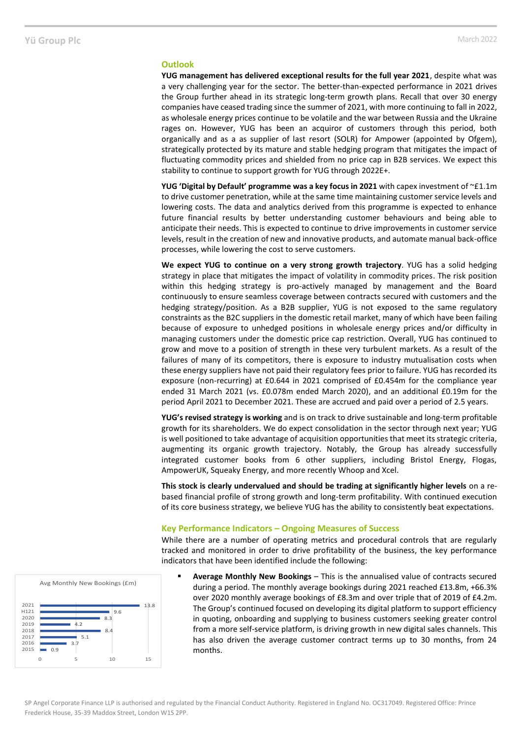### **Outlook**

**YUG management has delivered exceptional results for the full year 2021**, despite what was a very challenging year for the sector. The better-than-expected performance in 2021 drives the Group further ahead in its strategic long-term growth plans. Recall that over 30 energy companies have ceased trading since the summer of 2021, with more continuing to fall in 2022, as wholesale energy prices continue to be volatile and the war between Russia and the Ukraine rages on. However, YUG has been an acquiror of customers through this period, both organically and as a as supplier of last resort (SOLR) for Ampower (appointed by Ofgem), strategically protected by its mature and stable hedging program that mitigates the impact of fluctuating commodity prices and shielded from no price cap in B2B services. We expect this stability to continue to support growth for YUG through 2022E+.

**YUG 'Digital by Default' programme was a key focus in 2021** with capex investment of ~£1.1m to drive customer penetration, while at the same time maintaining customer service levels and lowering costs. The data and analytics derived from this programme is expected to enhance future financial results by better understanding customer behaviours and being able to anticipate their needs. This is expected to continue to drive improvements in customer service levels, result in the creation of new and innovative products, and automate manual back-office processes, while lowering the cost to serve customers.

**We expect YUG to continue on a very strong growth trajectory**. YUG has a solid hedging strategy in place that mitigates the impact of volatility in commodity prices. The risk position within this hedging strategy is pro-actively managed by management and the Board continuously to ensure seamless coverage between contracts secured with customers and the hedging strategy/position. As a B2B supplier, YUG is not exposed to the same regulatory constraints as the B2C suppliers in the domestic retail market, many of which have been failing because of exposure to unhedged positions in wholesale energy prices and/or difficulty in managing customers under the domestic price cap restriction. Overall, YUG has continued to grow and move to a position of strength in these very turbulent markets. As a result of the failures of many of its competitors, there is exposure to industry mutualisation costs when these energy suppliers have not paid their regulatory fees prior to failure. YUG has recorded its exposure (non-recurring) at £0.644 in 2021 comprised of £0.454m for the compliance year ended 31 March 2021 (vs. £0.078m ended March 2020), and an additional £0.19m for the period April 2021 to December 2021. These are accrued and paid over a period of 2.5 years.

**YUG's revised strategy is working** and is on track to drive sustainable and long-term profitable growth for its shareholders. We do expect consolidation in the sector through next year; YUG is well positioned to take advantage of acquisition opportunities that meet its strategic criteria, augmenting its organic growth trajectory. Notably, the Group has already successfully integrated customer books from 6 other suppliers, including Bristol Energy, Flogas, AmpowerUK, Squeaky Energy, and more recently Whoop and Xcel.

**This stock is clearly undervalued and should be trading at significantly higher levels** on a rebased financial profile of strong growth and long-term profitability. With continued execution of its core business strategy, we believe YUG has the ability to consistently beat expectations.

## **Key Performance Indicators – Ongoing Measures of Success**

While there are a number of operating metrics and procedural controls that are regularly tracked and monitored in order to drive profitability of the business, the key performance indicators that have been identified include the following:

Average Monthly New Bookings - This is the annualised value of contracts secured during a period. The monthly average bookings during 2021 reached £13.8m, +66.3% over 2020 monthly average bookings of £8.3m and over triple that of 2019 of £4.2m. The Group's continued focused on developing its digital platform to support efficiency in quoting, onboarding and supplying to business customers seeking greater control from a more self-service platform, is driving growth in new digital sales channels. This has also driven the average customer contract terms up to 30 months, from 24

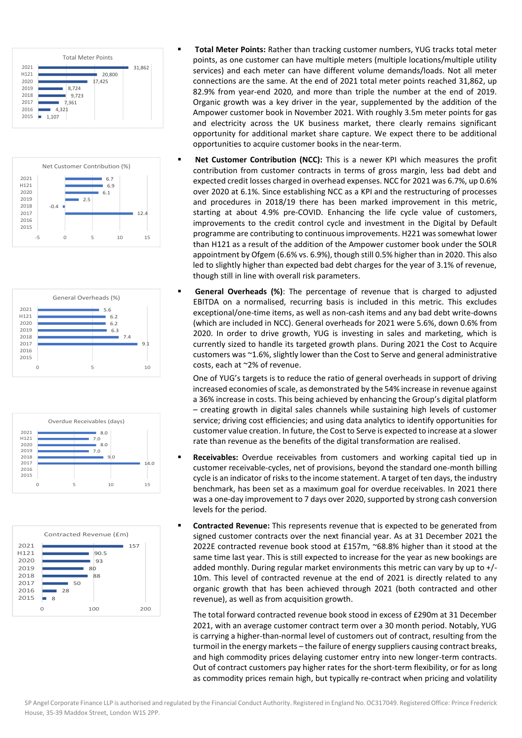









- **Total Meter Points:** Rather than tracking customer numbers, YUG tracks total meter points, as one customer can have multiple meters (multiple locations/multiple utility services) and each meter can have different volume demands/loads. Not all meter connections are the same. At the end of 2021 total meter points reached 31,862, up 82.9% from year-end 2020, and more than triple the number at the end of 2019. Organic growth was a key driver in the year, supplemented by the addition of the Ampower customer book in November 2021. With roughly 3.5m meter points for gas and electricity across the UK business market, there clearly remains significant opportunity for additional market share capture. We expect there to be additional opportunities to acquire customer books in the near-term.
- **Net Customer Contribution (NCC):** This is a newer KPI which measures the profit contribution from customer contracts in terms of gross margin, less bad debt and expected credit losses charged in overhead expenses. NCC for 2021 was 6.7%, up 0.6% over 2020 at 6.1%. Since establishing NCC as a KPI and the restructuring of processes and procedures in 2018/19 there has been marked improvement in this metric, starting at about 4.9% pre-COVID. Enhancing the life cycle value of customers, improvements to the credit control cycle and investment in the Digital by Default programme are contributing to continuous improvements. H221 was somewhat lower than H121 as a result of the addition of the Ampower customer book under the SOLR appointment by Ofgem (6.6% vs. 6.9%), though still 0.5% higher than in 2020. This also led to slightly higher than expected bad debt charges for the year of 3.1% of revenue, though still in line with overall risk parameters.
- **General Overheads (%)**: The percentage of revenue that is charged to adjusted EBITDA on a normalised, recurring basis is included in this metric. This excludes exceptional/one-time items, as well as non-cash items and any bad debt write-downs (which are included in NCC). General overheads for 2021 were 5.6%, down 0.6% from 2020. In order to drive growth, YUG is investing in sales and marketing, which is currently sized to handle its targeted growth plans. During 2021 the Cost to Acquire customers was ~1.6%, slightly lower than the Cost to Serve and general administrative costs, each at ~2% of revenue.

One of YUG's targets is to reduce the ratio of general overheads in support of driving increased economies of scale, as demonstrated by the 54% increase in revenue against a 36% increase in costs. This being achieved by enhancing the Group's digital platform – creating growth in digital sales channels while sustaining high levels of customer service; driving cost efficiencies; and using data analytics to identify opportunities for customer value creation. In future, the Cost to Serve is expected to increase at a slower rate than revenue as the benefits of the digital transformation are realised.

- **EXECE 12 Receivables:** Overdue receivables from customers and working capital tied up in customer receivable-cycles, net of provisions, beyond the standard one-month billing cycle is an indicator of risks to the income statement. A target of ten days, the industry benchmark, has been set as a maximum goal for overdue receivables. In 2021 there was a one-day improvement to 7 days over 2020, supported by strong cash conversion levels for the period.
- **EXECONTER FILTE THE STATE THE STATE THE VERGONT FILTE CONTEXANT FILTE CONTEX FILTE CONTEX FILTE CONTEX FILTE CONTE** signed customer contracts over the next financial year. As at 31 December 2021 the 2022E contracted revenue book stood at £157m, ~68.8% higher than it stood at the same time last year. This is still expected to increase for the year as new bookings are added monthly. During regular market environments this metric can vary by up to +/- 10m. This level of contracted revenue at the end of 2021 is directly related to any organic growth that has been achieved through 2021 (both contracted and other revenue), as well as from acquisition growth.

The total forward contracted revenue book stood in excess of £290m at 31 December 2021, with an average customer contract term over a 30 month period. Notably, YUG is carrying a higher-than-normal level of customers out of contract, resulting from the turmoil in the energy markets – the failure of energy suppliers causing contract breaks, and high commodity prices delaying customer entry into new longer-term contracts. Out of contract customers pay higher rates for the short-term flexibility, or for as long as commodity prices remain high, but typically re-contract when pricing and volatility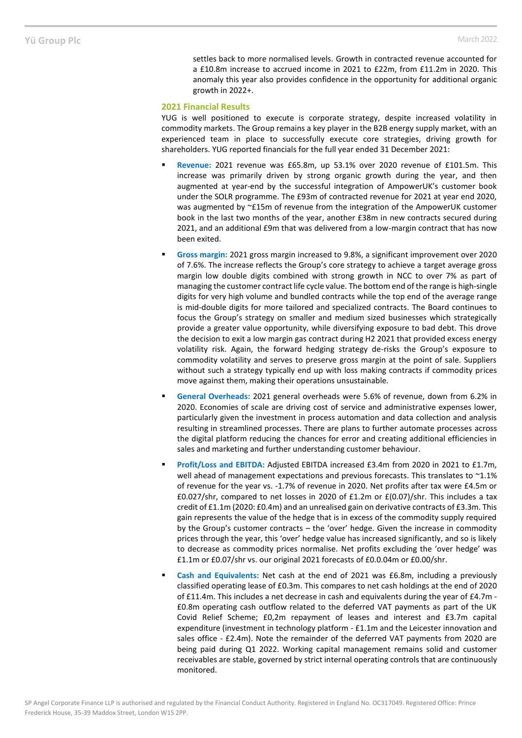settles back to more normalised levels. Growth in contracted revenue accounted for a £10.8m increase to accrued income in 2021 to £22m, from £11.2m in 2020. This anomaly this year also provides confidence in the opportunity for additional organic growth in 2022+.

## **2021 Financial Results**

YUG is well positioned to execute is corporate strategy, despite increased volatility in commodity markets. The Group remains a key player in the B2B energy supply market, with an experienced team in place to successfully execute core strategies, driving growth for shareholders. YUG reported financials for the full year ended 31 December 2021:

- Revenue: 2021 revenue was £65.8m, up 53.1% over 2020 revenue of £101.5m. This increase was primarily driven by strong organic growth during the year, and then augmented at year-end by the successful integration of AmpowerUK's customer book under the SOLR programme. The £93m of contracted revenue for 2021 at year end 2020, was augmented by ~£15m of revenue from the integration of the AmpowerUK customer book in the last two months of the year, another £38m in new contracts secured during 2021, and an additional £9m that was delivered from a low-margin contract that has now been exited.
- **Gross margin:** 2021 gross margin increased to 9.8%, a significant improvement over 2020 of 7.6%. The increase reflects the Group's core strategy to achieve a target average gross margin low double digits combined with strong growth in NCC to over 7% as part of managing the customer contract life cycle value. The bottom end of the range is high-single digits for very high volume and bundled contracts while the top end of the average range is mid-double digits for more tailored and specialized contracts. The Board continues to focus the Group's strategy on smaller and medium sized businesses which strategically provide a greater value opportunity, while diversifying exposure to bad debt. This drove the decision to exit a low margin gas contract during H2 2021 that provided excess energy volatility risk. Again, the forward hedging strategy de-risks the Group's exposure to commodity volatility and serves to preserve gross margin at the point of sale. Suppliers without such a strategy typically end up with loss making contracts if commodity prices move against them, making their operations unsustainable.
- **General Overheads:** 2021 general overheads were 5.6% of revenue, down from 6.2% in 2020. Economies of scale are driving cost of service and administrative expenses lower, particularly given the investment in process automation and data collection and analysis resulting in streamlined processes. There are plans to further automate processes across the digital platform reducing the chances for error and creating additional efficiencies in sales and marketing and further understanding customer behaviour.
- Profit/Loss and EBITDA: Adjusted EBITDA increased £3.4m from 2020 in 2021 to £1.7m, well ahead of management expectations and previous forecasts. This translates to ~1.1% of revenue for the year vs. -1.7% of revenue in 2020. Net profits after tax were £4.5m or £0.027/shr, compared to net losses in 2020 of £1.2m or £(0.07)/shr. This includes a tax credit of £1.1m (2020: £0.4m) and an unrealised gain on derivative contracts of £3.3m. This gain represents the value of the hedge that is in excess of the commodity supply required by the Group's customer contracts – the 'over' hedge. Given the increase in commodity prices through the year, this 'over' hedge value has increased significantly, and so is likely to decrease as commodity prices normalise. Net profits excluding the 'over hedge' was £1.1m or £0.07/shr vs. our original 2021 forecasts of £0.0.04m or £0.00/shr.
- Cash and Equivalents: Net cash at the end of 2021 was £6.8m, including a previously classified operating lease of £0.3m. This compares to net cash holdings at the end of 2020 of £11.4m. This includes a net decrease in cash and equivalents during the year of £4.7m - £0.8m operating cash outflow related to the deferred VAT payments as part of the UK Covid Relief Scheme; £0,2m repayment of leases and interest and £3.7m capital expenditure (investment in technology platform - £1.1m and the Leicester innovation and sales office - £2.4m). Note the remainder of the deferred VAT payments from 2020 are being paid during Q1 2022. Working capital management remains solid and customer receivables are stable, governed by strict internal operating controls that are continuously monitored.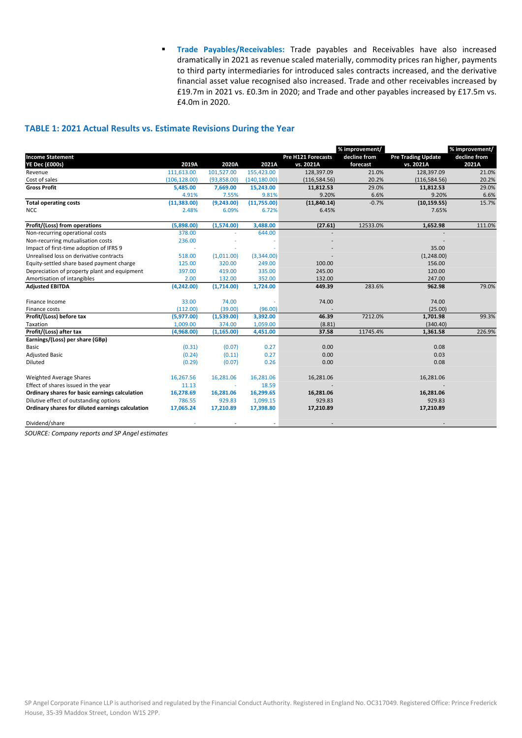**Trade Payables/Receivables:** Trade payables and Receivables have also increased dramatically in 2021 as revenue scaled materially, commodity prices ran higher, payments to third party intermediaries for introduced sales contracts increased, and the derivative financial asset value recognised also increased. Trade and other receivables increased by £19.7m in 2021 vs. £0.3m in 2020; and Trade and other payables increased by £17.5m vs. £4.0m in 2020.

## **TABLE 1: 2021 Actual Results vs. Estimate Revisions During the Year**

|                                                  |               |             |               |                    | % improvement/ |                           | % improvement/ |  |
|--------------------------------------------------|---------------|-------------|---------------|--------------------|----------------|---------------------------|----------------|--|
| <b>Income Statement</b>                          |               |             |               | Pre H121 Forecasts | decline from   | <b>Pre Trading Update</b> | decline from   |  |
| YE Dec (£000s)                                   | 2019A         | 2020A       | 2021A         | vs. 2021A          | forecast       | vs. 2021A                 | 2021A          |  |
| Revenue                                          | 111,613.00    | 101,527.00  | 155,423.00    | 128,397.09         | 21.0%          | 128,397.09                | 21.0%          |  |
| Cost of sales                                    | (106, 128.00) | (93,858.00) | (140, 180.00) | (116, 584.56)      | 20.2%          | (116, 584.56)             | 20.2%          |  |
| <b>Gross Profit</b>                              | 5,485.00      | 7,669.00    | 15,243.00     | 11,812.53          | 29.0%          | 11,812.53                 | 29.0%          |  |
|                                                  | 4.91%         | 7.55%       | 9.81%         | 9.20%              | 6.6%           | 9.20%                     | 6.6%           |  |
| <b>Total operating costs</b>                     | (11, 383.00)  | (9,243.00)  | (11,755.00)   | (11,840.14)        | $-0.7%$        | (10, 159.55)              | 15.7%          |  |
| <b>NCC</b>                                       | 2.48%         | 6.09%       | 6.72%         | 6.45%              |                | 7.65%                     |                |  |
| Profit/(Loss) from operations                    | (5,898.00)    | (1,574.00)  | 3,488.00      | (27.61)            | 12533.0%       | 1,652.98                  | 111.0%         |  |
| Non-recurring operational costs                  | 378.00        |             | 644.00        |                    |                |                           |                |  |
| Non-recurring mutualisation costs                | 236.00        |             |               |                    |                |                           |                |  |
| Impact of first-time adoption of IFRS 9          |               |             |               |                    |                | 35.00                     |                |  |
| Unrealised loss on derivative contracts          | 518.00        | (1,011.00)  | (3,344.00)    |                    |                | (1,248.00)                |                |  |
| Equity-settled share based payment charge        | 125.00        | 320.00      | 249.00        | 100.00             |                | 156.00                    |                |  |
| Depreciation of property plant and equipment     | 397.00        | 419.00      | 335.00        | 245.00             |                | 120.00                    |                |  |
| Amortisation of intangibles                      | 2.00          | 132.00      | 352.00        | 132.00             |                | 247.00                    |                |  |
| <b>Adjusted EBITDA</b>                           | (4,242.00)    | (1,714.00)  | 1,724.00      | 449.39             | 283.6%         | 962.98                    | 79.0%          |  |
| Finance Income                                   | 33.00         | 74.00       |               | 74.00              |                | 74.00                     |                |  |
| Finance costs                                    | (112.00)      | (39.00)     | (96.00)       |                    |                | (25.00)                   |                |  |
| Profit/(Loss) before tax                         | (5,977.00)    | (1,539.00)  | 3,392.00      | 46.39              | 7212.0%        | 1,701.98                  | 99.3%          |  |
| Taxation                                         | 1,009.00      | 374.00      | 1,059.00      | (8.81)             |                | (340.40)                  |                |  |
| Profit/(Loss) after tax                          | (4,968.00)    | (1, 165.00) | 4,451.00      | 37.58              | 11745.4%       | 1,361.58                  | 226.9%         |  |
| Earnings/(Loss) per share (GBp)                  |               |             |               |                    |                |                           |                |  |
| Basic                                            | (0.31)        | (0.07)      | 0.27          | 0.00               |                | 0.08                      |                |  |
| <b>Adjusted Basic</b>                            | (0.24)        | (0.11)      | 0.27          | 0.00               |                | 0.03                      |                |  |
| Diluted                                          | (0.29)        | (0.07)      | 0.26          | 0.00               |                | 0.08                      |                |  |
| Weighted Average Shares                          | 16,267.56     | 16,281.06   | 16,281.06     | 16,281.06          |                | 16,281.06                 |                |  |
| Effect of shares issued in the year              | 11.13         | ×           | 18.59         |                    |                |                           |                |  |
| Ordinary shares for basic earnings calculation   | 16,278.69     | 16,281.06   | 16,299.65     | 16,281.06          |                | 16,281.06                 |                |  |
| Dilutive effect of outstanding options           | 786.55        | 929.83      | 1,099.15      | 929.83             |                | 929.83                    |                |  |
| Ordinary shares for diluted earnings calculation | 17,065.24     | 17,210.89   | 17,398.80     | 17,210.89          |                | 17,210.89                 |                |  |
| Dividend/share                                   |               |             |               |                    |                |                           |                |  |

*SOURCE: Company reports and SP Angel estimates*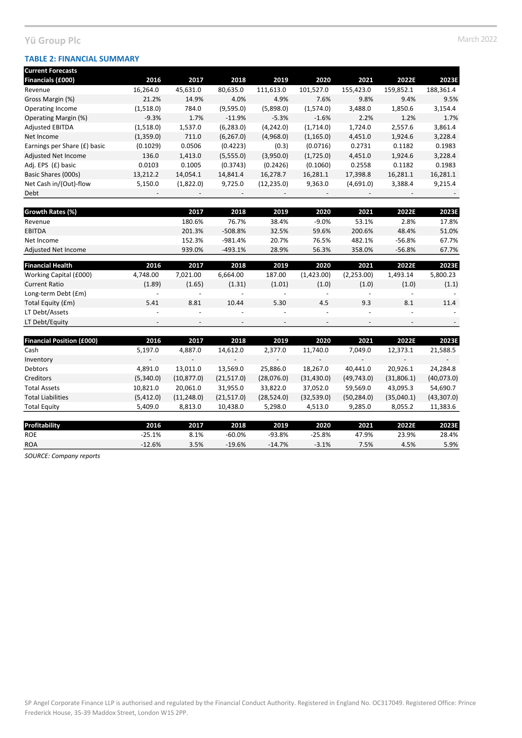## **TABLE 2: FINANCIAL SUMMARY**

| <b>Current Forecasts</b>         |           |             |            |             |             |             |            |            |
|----------------------------------|-----------|-------------|------------|-------------|-------------|-------------|------------|------------|
| Financials (£000)                | 2016      | 2017        | 2018       | 2019        | 2020        | 2021        | 2022E      | 2023E      |
| Revenue                          | 16,264.0  | 45,631.0    | 80,635.0   | 111,613.0   | 101,527.0   | 155,423.0   | 159,852.1  | 188,361.4  |
| Gross Margin (%)                 | 21.2%     | 14.9%       | 4.0%       | 4.9%        | 7.6%        | 9.8%        | 9.4%       | 9.5%       |
| Operating Income                 | (1,518.0) | 784.0       | (9,595.0)  | (5,898.0)   | (1,574.0)   | 3,488.0     | 1,850.6    | 3,154.4    |
| Operating Margin (%)             | $-9.3%$   | 1.7%        | $-11.9%$   | $-5.3%$     | $-1.6%$     | 2.2%        | 1.2%       | 1.7%       |
| <b>Adjusted EBITDA</b>           | (1,518.0) | 1,537.0     | (6, 283.0) | (4, 242.0)  | (1,714.0)   | 1,724.0     | 2,557.6    | 3,861.4    |
| Net Income                       | (1,359.0) | 711.0       | (6, 267.0) | (4,968.0)   | (1, 165.0)  | 4,451.0     | 1,924.6    | 3,228.4    |
| Earnings per Share (£) basic     | (0.1029)  | 0.0506      | (0.4223)   | (0.3)       | (0.0716)    | 0.2731      | 0.1182     | 0.1983     |
| Adjusted Net Income              | 136.0     | 1,413.0     | (5,555.0)  | (3,950.0)   | (1,725.0)   | 4,451.0     | 1,924.6    | 3,228.4    |
| Adj. EPS (£) basic               | 0.0103    | 0.1005      | (0.3743)   | (0.2426)    | (0.1060)    | 0.2558      | 0.1182     | 0.1983     |
| Basic Shares (000s)              | 13,212.2  | 14,054.1    | 14,841.4   | 16,278.7    | 16,281.1    | 17,398.8    | 16,281.1   | 16,281.1   |
| Net Cash in/(Out)-flow           | 5,150.0   | (1,822.0)   | 9,725.0    | (12, 235.0) | 9,363.0     | (4,691.0)   | 3,388.4    | 9,215.4    |
| Debt                             |           |             |            |             |             |             |            |            |
| Growth Rates (%)                 |           | 2017        | 2018       | 2019        | 2020        | 2021        | 2022E      | 2023E      |
| Revenue                          |           | 180.6%      | 76.7%      | 38.4%       | $-9.0%$     | 53.1%       | 2.8%       | 17.8%      |
| <b>EBITDA</b>                    |           | 201.3%      | $-508.8%$  | 32.5%       | 59.6%       | 200.6%      | 48.4%      | 51.0%      |
| Net Income                       |           | 152.3%      | $-981.4%$  | 20.7%       | 76.5%       | 482.1%      | $-56.8%$   | 67.7%      |
| Adjusted Net Income              |           | 939.0%      | $-493.1%$  | 28.9%       | 56.3%       | 358.0%      | $-56.8%$   | 67.7%      |
| <b>Financial Health</b>          | 2016      | 2017        | 2018       | 2019        | 2020        | 2021        | 2022E      | 2023E      |
| Working Capital (£000)           | 4,748.00  | 7,021.00    | 6,664.00   | 187.00      | (1,423.00)  | (2,253.00)  | 1,493.14   | 5,800.23   |
| <b>Current Ratio</b>             | (1.89)    | (1.65)      | (1.31)     | (1.01)      | (1.0)       | (1.0)       | (1.0)      | (1.1)      |
| Long-term Debt (£m)              |           |             |            |             |             |             |            |            |
| Total Equity (£m)                | 5.41      | 8.81        | 10.44      | 5.30        | 4.5         | 9.3         | 8.1        | 11.4       |
| LT Debt/Assets                   |           |             |            |             |             |             |            |            |
| LT Debt/Equity                   |           |             |            |             |             |             |            |            |
| <b>Financial Position (£000)</b> | 2016      | 2017        | 2018       | 2019        | 2020        | 2021        | 2022E      | 2023E      |
| Cash                             | 5,197.0   | 4,887.0     | 14,612.0   | 2,377.0     | 11,740.0    | 7,049.0     | 12,373.1   | 21,588.5   |
| Inventory                        |           |             |            |             |             |             |            |            |
| Debtors                          | 4,891.0   | 13,011.0    | 13,569.0   | 25,886.0    | 18,267.0    | 40,441.0    | 20,926.1   | 24,284.8   |
| Creditors                        | (5,340.0) | (10, 877.0) | (21,517.0) | (28,076.0)  | (31, 430.0) | (49, 743.0) | (31,806.1) | (40,073.0) |
| <b>Total Assets</b>              | 10,821.0  | 20,061.0    | 31,955.0   | 33,822.0    | 37,052.0    | 59,569.0    | 43,095.3   | 54,690.7   |

| <b>Profitability</b> | 2016     | 2017 | 2018     | 2019     | 2020     | 2021  | 2022E | 2023E |
|----------------------|----------|------|----------|----------|----------|-------|-------|-------|
| <b>ROE</b>           | $-25.1%$ | 8.1% | $-60.0%$ | $-93.8%$ | $-25.8%$ | 47.9% | 23.9% | 28.4% |
| <b>ROA</b>           | $-12.6%$ | 3.5% | $-19.6%$ | $-14.7%$ | $-3.1%$  | '.5%  | 4.5%  | 5.9%  |
|                      |          |      |          |          |          |       |       |       |

Total Liabilities (5,412.0) (11,248.0) (21,517.0) (28,524.0) (32,539.0) (50,284.0) (35,040.1) (43,307.0) Total Equity 5,409.0 8,813.0 10,438.0 5,298.0 4,513.0 9,285.0 8,055.2 11,383.6

*SOURCE: Company reports*